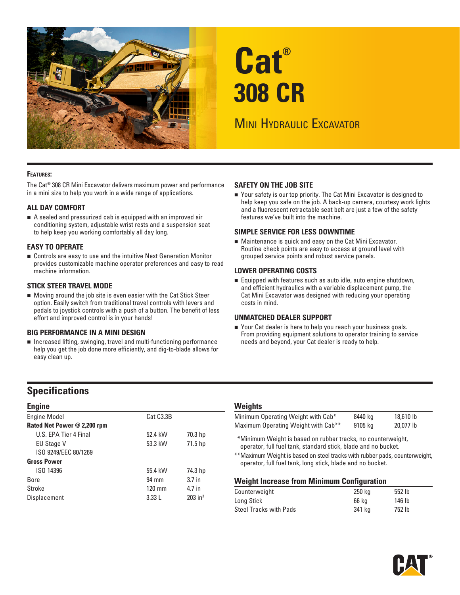

# **Cat® 308 CR**

# **MINI HYDRAULIC EXCAVATOR**

#### **Features:**

The Cat® 308 CR Mini Excavator delivers maximum power and performance in a mini size to help you work in a wide range of applications.

#### **ALL DAY COMFORT**

A sealed and pressurized cab is equipped with an improved air conditioning system, adjustable wrist rests and a suspension seat to help keep you working comfortably all day long.

#### **EASY TO OPERATE**

Controls are easy to use and the intuitive Next Generation Monitor provides customizable machine operator preferences and easy to read machine information.

#### **STICK STEER TRAVEL MODE**

Moving around the job site is even easier with the Cat Stick Steer option. Easily switch from traditional travel controls with levers and pedals to joystick controls with a push of a button. The benefit of less effort and improved control is in your hands!

#### **BIG PERFORMANCE IN A MINI DESIGN**

 help you get the job done more efficiently, and dig-to-blade allows for Increased lifting, swinging, travel and multi-functioning performance easy clean up.

#### **SAFETY ON THE JOB SITE**

■ Your safety is our top priority. The Cat Mini Excavator is designed to help keep you safe on the job. A back-up camera, courtesy work lights and a fluorescent retractable seat belt are just a few of the safety features we've built into the machine.

#### **SIMPLE SERVICE FOR LESS DOWNTIME**

Maintenance is quick and easy on the Cat Mini Excavator. Routine check points are easy to access at ground level with grouped service points and robust service panels.

#### **LOWER OPERATING COSTS**

Equipped with features such as auto idle, auto engine shutdown, and efficient hydraulics with a variable displacement pump, the Cat Mini Excavator was designed with reducing your operating costs in mind.

#### **UNMATCHED DEALER SUPPORT**

■ Your Cat dealer is here to help you reach your business goals. From providing equipment solutions to operator training to service needs and beyond, your Cat dealer is ready to help.

# **Specifications**

| <b>Engine</b>               |                        |                       |  |  |
|-----------------------------|------------------------|-----------------------|--|--|
| <b>Engine Model</b>         | Cat C <sub>3.3</sub> B |                       |  |  |
| Rated Net Power @ 2,200 rpm |                        |                       |  |  |
| U.S. FPA Tier 4 Final       | 52.4 kW                | 70.3 hp               |  |  |
| <b>EU Stage V</b>           | 53.3 kW                | 71.5 hp               |  |  |
| ISO 9249/EEC 80/1269        |                        |                       |  |  |
| <b>Gross Power</b>          |                        |                       |  |  |
| ISO 14396                   | 55.4 kW                | 74.3 hp               |  |  |
| <b>Bore</b>                 | 94 mm                  | 3.7 <sub>in</sub>     |  |  |
| Stroke                      | 120 mm                 | 4.7 in                |  |  |
| Displacement                | 3.33L                  | $203$ in <sup>3</sup> |  |  |

#### **Weights**

| Minimum Operating Weight with Cab*              | 8440 kg | 18,610 lb |
|-------------------------------------------------|---------|-----------|
| Maximum Operating Weight with Cab <sup>**</sup> | 9105 kg | 20.077 lb |

\* \*Minimum Weight is based on rubber tracks, no counterweight, operator, full fuel tank, standard stick, blade and no bucket.

\*\*Maximum Weight is based on steel tracks with rubber pads, counterweight, operator, full fuel tank, long stick, blade and no bucket.

#### **Weight Increase from Minimum Configuration**

| 250 kg | 552 lb |  |
|--------|--------|--|
| 66 ka  | 146 lb |  |
| 341 ka | 752 lb |  |
|        |        |  |

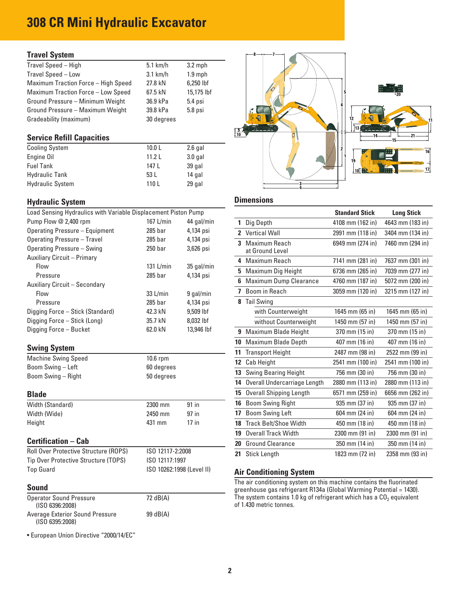# **308 CR Mini Hydraulic Excavator**

### **Travel System**

| Travel Speed - High                       | $5.1$ km/h | $3.2$ mph  |
|-------------------------------------------|------------|------------|
| Travel Speed - Low                        | $3.1$ km/h | $1.9$ mph  |
| Maximum Traction Force - High Speed       | 27.8 kN    | 6,250 lbf  |
| <b>Maximum Traction Force - Low Speed</b> | 67.5 kN    | 15,175 lbf |
| Ground Pressure - Minimum Weight          | 36.9 kPa   | 5.4 psi    |
| Ground Pressure - Maximum Weight          | 39.8 kPa   | 5.8 psi    |
| Gradeability (maximum)                    | 30 degrees |            |
|                                           |            |            |

#### **Service Refill Capacities**

| <b>Cooling System</b>   | 10.0 <sub>L</sub> | 2.6 gal   |
|-------------------------|-------------------|-----------|
| Engine Oil              | 11.21             | $3.0$ gal |
| <b>Fuel Tank</b>        | 147 L             | 39 gal    |
| <b>Hydraulic Tank</b>   | 53 L              | 14 gal    |
| <b>Hydraulic System</b> | 110L              | 29 gal    |

## **Hydraulic System Community Community Community Community Community Community Community Community Community Community**

| Load Sensing Hydraulics with Variable Displacement Piston Pump |                           |            |                                                                                                                                               | <b>Standard Stick</b> | <b>Long Stick</b> |
|----------------------------------------------------------------|---------------------------|------------|-----------------------------------------------------------------------------------------------------------------------------------------------|-----------------------|-------------------|
| Pump Flow @ 2,400 rpm                                          | 167 $L/min$               | 44 gal/min | 1 Dig Depth                                                                                                                                   | 4108 mm (162 in)      | 4643 mm (183      |
| <b>Operating Pressure - Equipment</b>                          | 285 bar                   | 4,134 psi  | 2 Vertical Wall                                                                                                                               | 2991 mm (118 in)      | 3404 mm (134      |
| <b>Operating Pressure - Travel</b>                             | $285$ bar                 | 4,134 psi  | 3 Maximum Reach                                                                                                                               | 6949 mm (274 in)      | 7460 mm (294      |
| <b>Operating Pressure - Swing</b>                              | 250 <sub>bar</sub>        | 3,626 psi  | at Ground Level                                                                                                                               |                       |                   |
| Auxiliary Circuit - Primary                                    |                           |            | 4 Maximum Reach                                                                                                                               | 7141 mm (281 in)      | 7637 mm (301      |
| Flow                                                           | 131 L/min                 | 35 gal/min | 5 Maximum Dig Height                                                                                                                          | 6736 mm (265 in)      | 7039 mm (277      |
| Pressure                                                       | $285$ bar                 | 4,134 psi  | 6 Maximum Dump Clearance                                                                                                                      | 4760 mm (187 in)      | 5072 mm (200      |
| Auxiliary Circuit - Secondary<br>Flow                          | 33 L/min                  | 9 gal/min  | 7 Boom in Reach                                                                                                                               | 3059 mm (120 in)      | 3215 mm (127      |
| Pressure                                                       | 285 bar                   | 4,134 psi  | 8 Tail Swing                                                                                                                                  |                       |                   |
| Digging Force - Stick (Standard)                               | 42.3 kN                   | 9,509 lbf  | with Counterweight                                                                                                                            | 1645 mm (65 in)       | 1645 mm (65 i     |
| Digging Force - Stick (Long)                                   | 35.7 kN                   | 8,032 lbf  | without Counterweight                                                                                                                         | 1450 mm (57 in)       | 1450 mm (57 i     |
| Digging Force - Bucket                                         | 62.0 kN                   | 13,946 lbf |                                                                                                                                               |                       |                   |
|                                                                |                           |            | 9 Maximum Blade Height                                                                                                                        | 370 mm (15 in)        | 370 mm (15 in     |
| <b>Swing System</b>                                            |                           |            | 10 Maximum Blade Depth                                                                                                                        | 407 mm (16 in)        | 407 mm (16 ir     |
| <b>Machine Swing Speed</b>                                     | 10.6 rpm                  |            | 11 Transport Height                                                                                                                           | 2487 mm (98 in)       | 2522 mm (99 i     |
| Boom Swing - Left                                              | 60 degrees                |            | 12 Cab Height                                                                                                                                 | 2541 mm (100 in)      | 2541 mm (100      |
| Boom Swing - Right                                             | 50 degrees                |            | 13 Swing Bearing Height                                                                                                                       | 756 mm (30 in)        | 756 mm (30 ir     |
|                                                                |                           |            | 14 Overall Undercarriage Length                                                                                                               | 2880 mm (113 in)      | 2880 mm (113      |
| <b>Blade</b>                                                   |                           |            | 15 Overall Shipping Length                                                                                                                    | 6571 mm (259 in)      | 6656 mm (262      |
| Width (Standard)                                               | 2300 mm                   | 91 in      | 16 Boom Swing Right                                                                                                                           | 935 mm (37 in)        | 935 mm (37 ir     |
| Width (Wide)                                                   | 2450 mm                   | 97 in      | 17 Boom Swing Left                                                                                                                            | 604 mm (24 in)        | 604 mm (24 in     |
| Height                                                         | 431 mm                    | $17$ in    | 18 Track Belt/Shoe Width                                                                                                                      | 450 mm (18 in)        | 450 mm (18 in     |
|                                                                |                           |            | 19 Overall Track Width                                                                                                                        | 2300 mm (91 in)       | 2300 mm (91 i     |
| <b>Certification - Cab</b>                                     |                           |            | 20 Ground Clearance                                                                                                                           | 350 mm (14 in)        | 350 mm (14 in     |
| <b>Roll Over Protective Structure (ROPS)</b>                   | ISO 12117-2:2008          |            | 21 Stick Length                                                                                                                               | 1823 mm (72 in)       | 2358 mm (93 i     |
| Tip Over Protective Structure (TOPS)                           | ISO 12117:1997            |            |                                                                                                                                               |                       |                   |
| <b>Top Guard</b>                                               | ISO 10262:1998 (Level II) |            | <b>Air Conditioning System</b>                                                                                                                |                       |                   |
| <b>Sound</b>                                                   |                           |            | The air conditioning system on this machine contains the fluorinated                                                                          |                       |                   |
| <b>Operator Sound Pressure</b>                                 | 72 dB(A)                  |            | greenhouse gas refrigerant R134a (Global Warming Potential = 1430).<br>The system contains 1.0 kg of refrigerant which has a $CO2$ equivalent |                       |                   |
| (ISO 6396:2008)                                                |                           |            | of 1.430 metric tonnes.                                                                                                                       |                       |                   |
| Average Exterior Sound Pressure<br>(ISO 6395:2008)             | 99 dB(A)                  |            |                                                                                                                                               |                       |                   |

• European Union Directive "2000/14/EC"



|                    |                                                                                                                                                |                                                                                                                                                                                              |                                | <b>Standard Stick</b>                                                                                                                                                                                                                                                                                                                                       | <b>Long Stick</b>                                                                                                                    |
|--------------------|------------------------------------------------------------------------------------------------------------------------------------------------|----------------------------------------------------------------------------------------------------------------------------------------------------------------------------------------------|--------------------------------|-------------------------------------------------------------------------------------------------------------------------------------------------------------------------------------------------------------------------------------------------------------------------------------------------------------------------------------------------------------|--------------------------------------------------------------------------------------------------------------------------------------|
| 167 L/min          | 44 gal/min                                                                                                                                     |                                                                                                                                                                                              |                                | 4108 mm (162 in)                                                                                                                                                                                                                                                                                                                                            | 4643 mm (183 in)                                                                                                                     |
| 285 <sub>bar</sub> | 4,134 psi                                                                                                                                      |                                                                                                                                                                                              |                                | 2991 mm (118 in)                                                                                                                                                                                                                                                                                                                                            | 3404 mm (134 in)                                                                                                                     |
| $285$ bar          |                                                                                                                                                |                                                                                                                                                                                              |                                |                                                                                                                                                                                                                                                                                                                                                             | 7460 mm (294 in)                                                                                                                     |
|                    | $3,626$ psi                                                                                                                                    |                                                                                                                                                                                              | at Ground Level                |                                                                                                                                                                                                                                                                                                                                                             |                                                                                                                                      |
|                    |                                                                                                                                                |                                                                                                                                                                                              |                                | 7141 mm (281 in)                                                                                                                                                                                                                                                                                                                                            | 7637 mm (301 in)                                                                                                                     |
|                    |                                                                                                                                                |                                                                                                                                                                                              |                                |                                                                                                                                                                                                                                                                                                                                                             | 7039 mm (277 in)                                                                                                                     |
|                    |                                                                                                                                                |                                                                                                                                                                                              |                                |                                                                                                                                                                                                                                                                                                                                                             | 5072 mm (200 in)                                                                                                                     |
|                    |                                                                                                                                                |                                                                                                                                                                                              |                                |                                                                                                                                                                                                                                                                                                                                                             | 3215 mm (127 in)                                                                                                                     |
|                    |                                                                                                                                                |                                                                                                                                                                                              |                                |                                                                                                                                                                                                                                                                                                                                                             |                                                                                                                                      |
|                    |                                                                                                                                                |                                                                                                                                                                                              |                                |                                                                                                                                                                                                                                                                                                                                                             |                                                                                                                                      |
|                    |                                                                                                                                                |                                                                                                                                                                                              |                                |                                                                                                                                                                                                                                                                                                                                                             | 1645 mm (65 in)                                                                                                                      |
|                    |                                                                                                                                                |                                                                                                                                                                                              |                                |                                                                                                                                                                                                                                                                                                                                                             | 1450 mm (57 in)                                                                                                                      |
|                    |                                                                                                                                                |                                                                                                                                                                                              |                                |                                                                                                                                                                                                                                                                                                                                                             | 370 mm (15 in)                                                                                                                       |
|                    |                                                                                                                                                |                                                                                                                                                                                              |                                | 407 mm (16 in)                                                                                                                                                                                                                                                                                                                                              | 407 mm (16 in)                                                                                                                       |
|                    |                                                                                                                                                |                                                                                                                                                                                              | <b>Transport Height</b>        | 2487 mm (98 in)                                                                                                                                                                                                                                                                                                                                             | 2522 mm (99 in)                                                                                                                      |
|                    |                                                                                                                                                |                                                                                                                                                                                              | Cab Height                     | 2541 mm (100 in)                                                                                                                                                                                                                                                                                                                                            | 2541 mm (100 in)                                                                                                                     |
|                    |                                                                                                                                                |                                                                                                                                                                                              | <b>Swing Bearing Height</b>    | 756 mm (30 in)                                                                                                                                                                                                                                                                                                                                              | 756 mm (30 in)                                                                                                                       |
|                    |                                                                                                                                                |                                                                                                                                                                                              | Overall Undercarriage Length   | 2880 mm (113 in)                                                                                                                                                                                                                                                                                                                                            | 2880 mm (113 in)                                                                                                                     |
|                    |                                                                                                                                                | 15                                                                                                                                                                                           | <b>Overall Shipping Length</b> | 6571 mm (259 in)                                                                                                                                                                                                                                                                                                                                            | 6656 mm (262 in)                                                                                                                     |
| 2300 mm            | 91 in                                                                                                                                          |                                                                                                                                                                                              | <b>Boom Swing Right</b>        | 935 mm (37 in)                                                                                                                                                                                                                                                                                                                                              | 935 mm (37 in)                                                                                                                       |
| 2450 mm            | 97 in                                                                                                                                          |                                                                                                                                                                                              | <b>Boom Swing Left</b>         | 604 mm (24 in)                                                                                                                                                                                                                                                                                                                                              | 604 mm (24 in)                                                                                                                       |
| 431 mm             | $17$ in                                                                                                                                        |                                                                                                                                                                                              |                                | 450 mm (18 in)                                                                                                                                                                                                                                                                                                                                              | 450 mm (18 in)                                                                                                                       |
|                    |                                                                                                                                                | 19                                                                                                                                                                                           | <b>Overall Track Width</b>     | 2300 mm (91 in)                                                                                                                                                                                                                                                                                                                                             | 2300 mm (91 in)                                                                                                                      |
|                    |                                                                                                                                                | 20                                                                                                                                                                                           | <b>Ground Clearance</b>        | 350 mm (14 in)                                                                                                                                                                                                                                                                                                                                              | 350 mm (14 in)                                                                                                                       |
|                    |                                                                                                                                                |                                                                                                                                                                                              |                                | 1823 mm (72 in)                                                                                                                                                                                                                                                                                                                                             | 2358 mm (93 in)                                                                                                                      |
|                    | 250 <sub>bar</sub><br>$131$ L/min<br>285 bar<br>33 L/min<br>$285$ bar<br>42.3 kN<br>35.7 kN<br>62.0 kN<br>10.6 rpm<br>60 degrees<br>50 degrees | Load Sensing Hydraulics with Variable Displacement Piston Pump<br>4,134 psi<br>35 gal/min<br>4,134 psi<br>9 gal/min<br>4,134 psi<br>9,509 lbf<br>8,032 lbf<br>13,946 lbf<br>ISO 12117-2:2008 |                                | 1 Dig Depth<br>2 Vertical Wall<br>3 Maximum Reach<br>4 Maximum Reach<br>5 Maximum Dig Height<br>6 Maximum Dump Clearance<br>7 Boom in Reach<br>8 Tail Swing<br>with Counterweight<br>without Counterweight<br>9 Maximum Blade Height<br><b>Maximum Blade Depth</b><br>10<br>11<br>12<br>13<br>14<br>16<br>17<br>18 Track Belt/Shoe Width<br>21 Stick Length | 6949 mm (274 in)<br>6736 mm (265 in)<br>4760 mm (187 in)<br>3059 mm (120 in)<br>1645 mm (65 in)<br>1450 mm (57 in)<br>370 mm (15 in) |

#### **Air Conditioning System**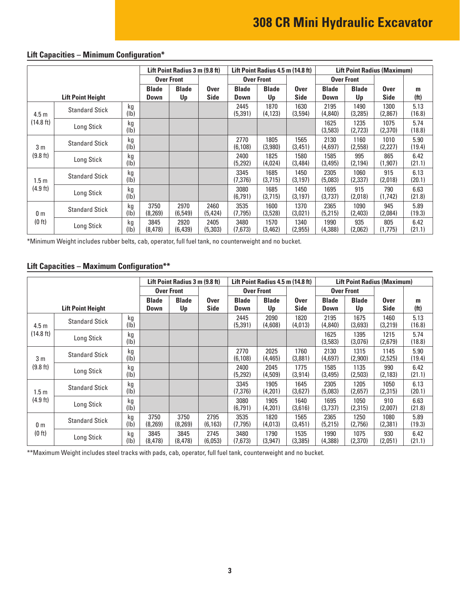|                          |                       | Lift Point Radius 3 m (9.8 ft) |                    | Lift Point Radius 4.5 m (14.8 ft) |                             |                    |                            | <b>Lift Point Radius (Maximum)</b> |                    |                            |                        |                |
|--------------------------|-----------------------|--------------------------------|--------------------|-----------------------------------|-----------------------------|--------------------|----------------------------|------------------------------------|--------------------|----------------------------|------------------------|----------------|
|                          |                       | <b>Over Front</b>              |                    |                                   |                             | <b>Over Front</b>  |                            | <b>Over Front</b>                  |                    |                            |                        |                |
| <b>Lift Point Height</b> |                       | <b>Blade</b><br><b>Down</b>    | <b>Blade</b><br>Up | <b>Over</b><br><b>Side</b>        | <b>Blade</b><br><b>Down</b> | <b>Blade</b><br>Up | <b>Over</b><br><b>Side</b> | <b>Blade</b><br>Down               | <b>Blade</b><br>Up | <b>Over</b><br><b>Side</b> | m<br>(f <sup>t</sup> ) |                |
| 4.5 <sub>m</sub>         | <b>Standard Stick</b> | kg<br>(Ib)                     |                    |                                   |                             | 2445<br>(5,391)    | 1870<br>(4, 123)           | 1630<br>(3,594)                    | 2195<br>(4,840)    | 1490<br>(3,285)            | 1300<br>(2,867)        | 5.13<br>(16.8) |
| (14.8 ft)                | Long Stick            | kg<br>(lb)                     |                    |                                   |                             |                    |                            |                                    | 1625<br>(3,583)    | 1235<br>(2,723)            | 1075<br>(2,370)        | 5.74<br>(18.8) |
| 3 <sub>m</sub>           | <b>Standard Stick</b> | kg<br>(1b)                     |                    |                                   |                             | 2770<br>(6, 108)   | 1805<br>(3,980)            | 1565<br>(3, 451)                   | 2130<br>(4,697)    | 1160<br>(2,558)            | 1010<br>(2,227)        | 5.90<br>(19.4) |
| (9.8 ft)                 | Long Stick            | kg<br>(lb)                     |                    |                                   |                             | 2400<br>(5,292)    | 1825<br>(4,024)            | 1580<br>(3,484)                    | 1585<br>(3,495)    | 995<br>(2,194)             | 865<br>(1,907)         | 6.42<br>(21.1) |
| 1.5 <sub>m</sub>         | <b>Standard Stick</b> | kg<br>(1b)                     |                    |                                   |                             | 3345<br>(7, 376)   | 1685<br>(3,715)            | 1450<br>(3, 197)                   | 2305<br>(5,083)    | 1060<br>(2, 337)           | 915<br>(2,018)         | 6.13<br>(20.1) |
| (4.9 ft)                 | Long Stick            | kg<br>(lb)                     |                    |                                   |                             | 3080<br>(6,791)    | 1685<br>(3,715)            | 1450<br>(3, 197)                   | 1695<br>(3,737)    | 915<br>(2,018)             | 790<br>(1, 742)        | 6.63<br>(21.8) |
| 0 <sub>m</sub>           | <b>Standard Stick</b> | kg<br>(lb)                     | 3750<br>(8, 269)   | 2970<br>(6, 549)                  | 2460<br>(5,424)             | 3535<br>(7, 795)   | 1600<br>(3,528)            | 1370<br>(3,021)                    | 2365<br>(5,215)    | 1090<br>(2,403)            | 945<br>(2,084)         | 5.89<br>(19.3) |
| (0 ft)                   | Long Stick            | kg<br>(1b)                     | 3845<br>(8, 478)   | 2920<br>(6, 439)                  | 2405<br>(5,303)             | 3480<br>(7,673)    | 1570<br>(3,462)            | 1340<br>(2, 955)                   | 1990<br>(4,388)    | 935<br>(2,062)             | 805<br>(1,775)         | 6.42<br>(21.1) |

## **Lift Capacities – Minimum Configuration\***

\*Minimum Weight includes rubber belts, cab, operator, full fuel tank, no counterweight and no bucket.

#### **Lift Capacities – Maximum Configuration\*\***

|                            |                          |                   | Lift Point Radius 3 m (9.8 ft) |                    |                            |                             | Lift Point Radius 4.5 m (14.8 ft) |                            | <b>Lift Point Radius (Maximum)</b> |                    |                     |                        |
|----------------------------|--------------------------|-------------------|--------------------------------|--------------------|----------------------------|-----------------------------|-----------------------------------|----------------------------|------------------------------------|--------------------|---------------------|------------------------|
|                            |                          | <b>Over Front</b> |                                |                    |                            | <b>Over Front</b>           |                                   | <b>Over Front</b>          |                                    |                    |                     |                        |
|                            | <b>Lift Point Height</b> |                   | <b>Blade</b><br>Down           | <b>Blade</b><br>Up | <b>Over</b><br><b>Side</b> | <b>Blade</b><br><b>Down</b> | <b>Blade</b><br>Up                | <b>Over</b><br><b>Side</b> | <b>Blade</b><br><b>Down</b>        | <b>Blade</b><br>Up | <b>Over</b><br>Side | m<br>(f <sup>t</sup> ) |
|                            |                          |                   |                                |                    |                            |                             |                                   |                            |                                    |                    |                     |                        |
| 4.5 <sub>m</sub>           | <b>Standard Stick</b>    | kg<br>(1b)        |                                |                    |                            | 2445<br>(5, 391)            | 2090<br>(4,608)                   | 1820<br>(4,013)            | 2195<br>(4, 840)                   | 1675<br>(3,693)    | 1460<br>(3,219)     | 5.13<br>(16.8)         |
| (14.8 ft)                  | Long Stick               | kg<br>(Ib)        |                                |                    |                            |                             |                                   |                            | 1625<br>(3,583)                    | 1395<br>(3,076)    | 1215<br>(2,679)     | 5.74<br>(18.8)         |
| 3 <sub>m</sub><br>(9.8 ft) | <b>Standard Stick</b>    | kg<br>(1b)        |                                |                    |                            | 2770<br>(6, 108)            | 2025<br>(4, 465)                  | 1760<br>(3,881)            | 2130<br>(4,697)                    | 1315<br>(2,900)    | 1145<br>(2,525)     | 5.90<br>(19.4)         |
|                            | Long Stick               | kg<br>(1b)        |                                |                    |                            | 2400<br>(5,292)             | 2045<br>(4,509)                   | 1775<br>(3, 914)           | 1585<br>(3, 495)                   | 1135<br>(2,503)    | 990<br>(2, 183)     | 6.42<br>(21.1)         |
| 1.5m                       | <b>Standard Stick</b>    | kg<br>(Ib)        |                                |                    |                            | 3345<br>(7, 376)            | 1905<br>(4,201)                   | 1645<br>(3,627)            | 2305<br>(5,083)                    | 1205<br>(2,657)    | 1050<br>(2,315)     | 6.13<br>(20.1)         |
| (4.9 ft)                   | Long Stick               | kg<br>(lb)        |                                |                    |                            | 3080<br>(6,791)             | 1905<br>(4,201)                   | 1640<br>(3,616)            | 1695<br>(3,737)                    | 1050<br>(2,315)    | 910<br>(2,007)      | 6.63<br>(21.8)         |
| 0 <sub>m</sub><br>(0 ft)   | <b>Standard Stick</b>    | kg<br>(1b)        | 3750<br>(8,269)                | 3750<br>(8,269)    | 2795<br>(6, 163)           | 3535<br>(7, 795)            | 1820<br>(4,013)                   | 1565<br>(3, 451)           | 2365<br>(5,215)                    | 1250<br>(2,756)    | 1080<br>(2,381)     | 5.89<br>(19.3)         |
|                            | Long Stick               | kg<br>(1b)        | 3845<br>(8, 478)               | 3845<br>(8, 478)   | 2745<br>(6,053)            | 3480<br>(7,673)             | 1790<br>(3,947)                   | 1535<br>(3,385)            | 1990<br>(4,388)                    | 1075<br>(2,370)    | 930<br>(2,051)      | 6.42<br>(21.1)         |

\*\*Maximum Weight includes steel tracks with pads, cab, operator, full fuel tank, counterweight and no bucket.